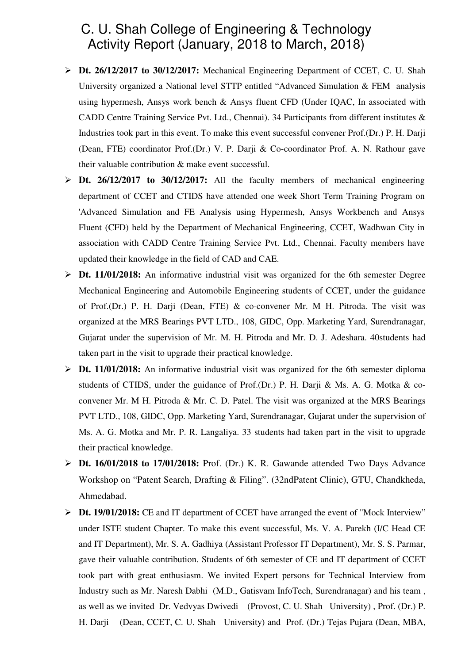## C. U. Shah College of Engineering & Technology Activity Report (January, 2018 to March, 2018)

- **Dt. 26/12/2017 to 30/12/2017:** Mechanical Engineering Department of CCET, C. U. Shah University organized a National level STTP entitled "Advanced Simulation & FEM analysis using hypermesh, Ansys work bench & Ansys fluent CFD (Under IQAC, In associated with CADD Centre Training Service Pvt. Ltd., Chennai). 34 Participants from different institutes & Industries took part in this event. To make this event successful convener Prof.(Dr.) P. H. Darji (Dean, FTE) coordinator Prof.(Dr.) V. P. Darji & Co-coordinator Prof. A. N. Rathour gave their valuable contribution & make event successful.
- **Dt. 26/12/2017 to 30/12/2017:** All the faculty members of mechanical engineering department of CCET and CTIDS have attended one week Short Term Training Program on 'Advanced Simulation and FE Analysis using Hypermesh, Ansys Workbench and Ansys Fluent (CFD) held by the Department of Mechanical Engineering, CCET, Wadhwan City in association with CADD Centre Training Service Pvt. Ltd., Chennai. Faculty members have updated their knowledge in the field of CAD and CAE.
- **Dt. 11/01/2018:** An informative industrial visit was organized for the 6th semester Degree Mechanical Engineering and Automobile Engineering students of CCET, under the guidance of Prof.(Dr.) P. H. Darji (Dean, FTE) & co-convener Mr. M H. Pitroda. The visit was organized at the MRS Bearings PVT LTD., 108, GIDC, Opp. Marketing Yard, Surendranagar, Gujarat under the supervision of Mr. M. H. Pitroda and Mr. D. J. Adeshara. 40students had taken part in the visit to upgrade their practical knowledge.
- **Dt. 11/01/2018:** An informative industrial visit was organized for the 6th semester diploma students of CTIDS, under the guidance of Prof.(Dr.) P. H. Darii & Ms. A. G. Motka & coconvener Mr. M H. Pitroda & Mr. C. D. Patel. The visit was organized at the MRS Bearings PVT LTD., 108, GIDC, Opp. Marketing Yard, Surendranagar, Gujarat under the supervision of Ms. A. G. Motka and Mr. P. R. Langaliya. 33 students had taken part in the visit to upgrade their practical knowledge.
- **Dt. 16/01/2018 to 17/01/2018:** Prof. (Dr.) K. R. Gawande attended Two Days Advance Workshop on "Patent Search, Drafting & Filing". (32ndPatent Clinic), GTU, Chandkheda, Ahmedabad.
- **Dt. 19/01/2018:** CE and IT department of CCET have arranged the event of "Mock Interview" under ISTE student Chapter. To make this event successful, Ms. V. A. Parekh (I/C Head CE and IT Department), Mr. S. A. Gadhiya (Assistant Professor IT Department), Mr. S. S. Parmar, gave their valuable contribution. Students of 6th semester of CE and IT department of CCET took part with great enthusiasm. We invited Expert persons for Technical Interview from Industry such as Mr. Naresh Dabhi (M.D., Gatisvam InfoTech, Surendranagar) and his team , as well as we invited Dr. Vedvyas Dwivedi (Provost, C. U. Shah University) , Prof. (Dr.) P. H. Darji (Dean, CCET, C. U. Shah University) and Prof. (Dr.) Tejas Pujara (Dean, MBA,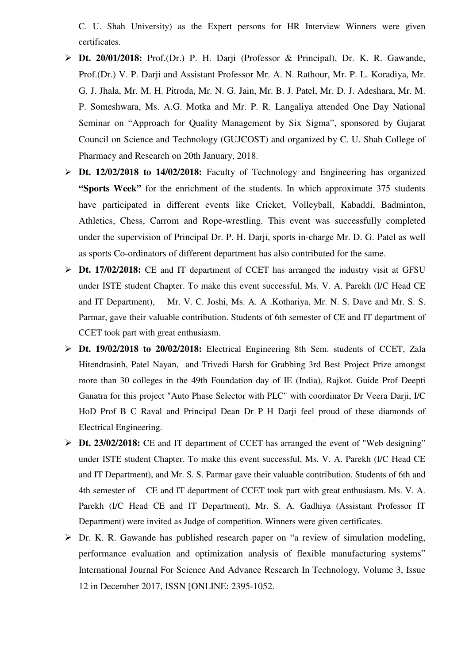C. U. Shah University) as the Expert persons for HR Interview Winners were given certificates.

- **Dt. 20/01/2018:** Prof.(Dr.) P. H. Darji (Professor & Principal), Dr. K. R. Gawande, Prof.(Dr.) V. P. Darji and Assistant Professor Mr. A. N. Rathour, Mr. P. L. Koradiya, Mr. G. J. Jhala, Mr. M. H. Pitroda, Mr. N. G. Jain, Mr. B. J. Patel, Mr. D. J. Adeshara, Mr. M. P. Someshwara, Ms. A.G. Motka and Mr. P. R. Langaliya attended One Day National Seminar on "Approach for Quality Management by Six Sigma", sponsored by Gujarat Council on Science and Technology (GUJCOST) and organized by C. U. Shah College of Pharmacy and Research on 20th January, 2018.
- **Dt. 12/02/2018 to 14/02/2018:** Faculty of Technology and Engineering has organized **"Sports Week"** for the enrichment of the students. In which approximate 375 students have participated in different events like Cricket, Volleyball, Kabaddi, Badminton, Athletics, Chess, Carrom and Rope-wrestling. This event was successfully completed under the supervision of Principal Dr. P. H. Darji, sports in-charge Mr. D. G. Patel as well as sports Co-ordinators of different department has also contributed for the same.
- **Dt. 17/02/2018:** CE and IT department of CCET has arranged the industry visit at GFSU under ISTE student Chapter. To make this event successful, Ms. V. A. Parekh (I/C Head CE and IT Department), Mr. V. C. Joshi, Ms. A. A .Kothariya, Mr. N. S. Dave and Mr. S. S. Parmar, gave their valuable contribution. Students of 6th semester of CE and IT department of CCET took part with great enthusiasm.
- **Dt. 19/02/2018 to 20/02/2018:** Electrical Engineering 8th Sem. students of CCET, Zala Hitendrasinh, Patel Nayan, and Trivedi Harsh for Grabbing 3rd Best Project Prize amongst more than 30 colleges in the 49th Foundation day of IE (India), Rajkot. Guide Prof Deepti Ganatra for this project "Auto Phase Selector with PLC" with coordinator Dr Veera Darji, I/C HoD Prof B C Raval and Principal Dean Dr P H Darji feel proud of these diamonds of Electrical Engineering.
- **Dt. 23/02/2018:** CE and IT department of CCET has arranged the event of "Web designing" under ISTE student Chapter. To make this event successful, Ms. V. A. Parekh (I/C Head CE and IT Department), and Mr. S. S. Parmar gave their valuable contribution. Students of 6th and 4th semester of CE and IT department of CCET took part with great enthusiasm. Ms. V. A. Parekh (I/C Head CE and IT Department), Mr. S. A. Gadhiya (Assistant Professor IT Department) were invited as Judge of competition. Winners were given certificates.
- Dr. K. R. Gawande has published research paper on "a review of simulation modeling, performance evaluation and optimization analysis of flexible manufacturing systems" International Journal For Science And Advance Research In Technology, Volume 3, Issue 12 in December 2017, ISSN [ONLINE: 2395-1052.